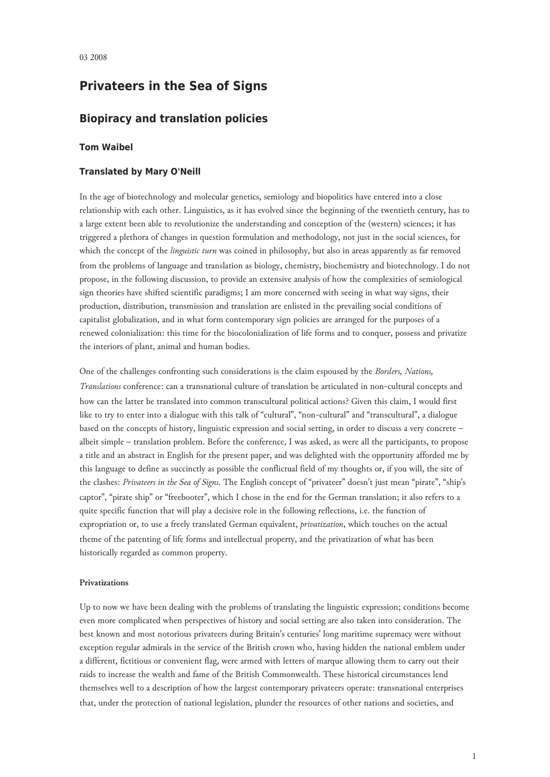# **Privateers in the Sea of Signs**

## **Biopiracy and translation policies**

## **Tom Waibel**

## **Translated by Mary O'Neill**

In the age of biotechnology and molecular genetics, semiology and biopolitics have entered into a close relationship with each other. Linguistics, as it has evolved since the beginning of the twentieth century, has to a large extent been able to revolutionize the understanding and conception of the (western) sciences; it has triggered a plethora of changes in question formulation and methodology, not just in the social sciences, for which the concept of the *linguistic turn* was coined in philosophy, but also in areas apparently as far removed from the problems of language and translation as biology, chemistry, biochemistry and biotechnology. I do not propose, in the following discussion, to provide an extensive analysis of how the complexities of semiological sign theories have shifted scientific paradigms; I am more concerned with seeing in what way signs, their production, distribution, transmission and translation are enlisted in the prevailing social conditions of capitalist globalization, and in what form contemporary sign policies are arranged for the purposes of a renewed colonialization: this time for the biocolonialization of life forms and to conquer, possess and privatize the interiors of plant, animal and human bodies.

One of the challenges confronting such considerations is the claim espoused by the *Borders, Nations, Translations* conference: can a transnational culture of translation be articulated in non-cultural concepts and how can the latter be translated into common transcultural political actions? Given this claim, I would first like to try to enter into a dialogue with this talk of "cultural", "non-cultural" and "transcultural", a dialogue based on the concepts of history, linguistic expression and social setting, in order to discuss a very concrete – albeit simple – translation problem. Before the conference, I was asked, as were all the participants, to propose a title and an abstract in English for the present paper, and was delighted with the opportunity afforded me by this language to define as succinctly as possible the conflictual field of my thoughts or, if you will, the site of the clashes: *Privateers in the Sea of Signs.* The English concept of "privateer" doesn't just mean "pirate", "ship's captor", "pirate ship" or "freebooter", which I chose in the end for the German translation; it also refers to a quite specific function that will play a decisive role in the following reflections, i.e. the function of expropriation or, to use a freely translated German equivalent, *privatization*, which touches on the actual theme of the patenting of life forms and intellectual property, and the privatization of what has been historically regarded as common property.

### **Privatizations**

Up to now we have been dealing with the problems of translating the linguistic expression; conditions become even more complicated when perspectives of history and social setting are also taken into consideration. The best known and most notorious privateers during Britain's centuries' long maritime supremacy were without exception regular admirals in the service of the British crown who, having hidden the national emblem under a different, fictitious or convenient flag, were armed with letters of marque allowing them to carry out their raids to increase the wealth and fame of the British Commonwealth. These historical circumstances lend themselves well to a description of how the largest contemporary privateers operate: transnational enterprises that, under the protection of national legislation, plunder the resources of other nations and societies, and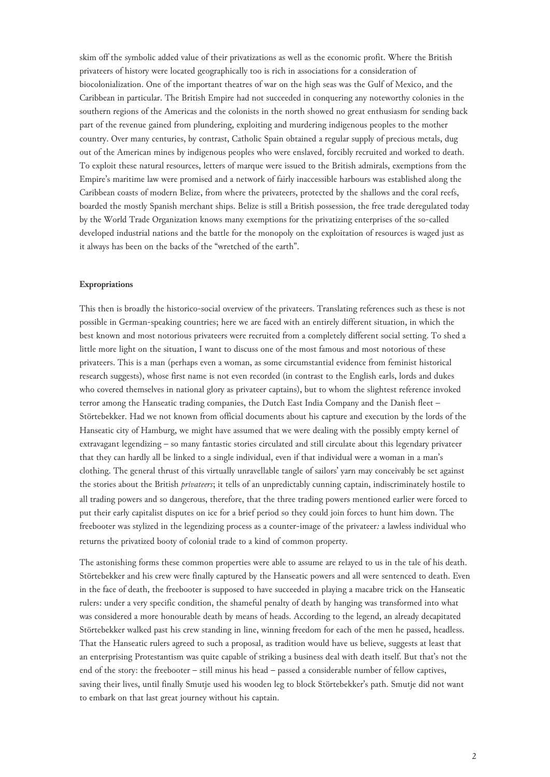skim off the symbolic added value of their privatizations as well as the economic profit. Where the British privateers of history were located geographically too is rich in associations for a consideration of biocolonialization. One of the important theatres of war on the high seas was the Gulf of Mexico, and the Caribbean in particular. The British Empire had not succeeded in conquering any noteworthy colonies in the southern regions of the Americas and the colonists in the north showed no great enthusiasm for sending back part of the revenue gained from plundering, exploiting and murdering indigenous peoples to the mother country. Over many centuries, by contrast, Catholic Spain obtained a regular supply of precious metals, dug out of the American mines by indigenous peoples who were enslaved, forcibly recruited and worked to death. To exploit these natural resources, letters of marque were issued to the British admirals, exemptions from the Empire's maritime law were promised and a network of fairly inaccessible harbours was established along the Caribbean coasts of modern Belize, from where the privateers, protected by the shallows and the coral reefs, boarded the mostly Spanish merchant ships. Belize is still a British possession, the free trade deregulated today by the World Trade Organization knows many exemptions for the privatizing enterprises of the so-called developed industrial nations and the battle for the monopoly on the exploitation of resources is waged just as it always has been on the backs of the "wretched of the earth".

#### **Expropriations**

This then is broadly the historico-social overview of the privateers. Translating references such as these is not possible in German-speaking countries; here we are faced with an entirely different situation, in which the best known and most notorious privateers were recruited from a completely different social setting. To shed a little more light on the situation, I want to discuss one of the most famous and most notorious of these privateers. This is a man (perhaps even a woman, as some circumstantial evidence from feminist historical research suggests), whose first name is not even recorded (in contrast to the English earls, lords and dukes who covered themselves in national glory as privateer captains), but to whom the slightest reference invoked terror among the Hanseatic trading companies, the Dutch East India Company and the Danish fleet – Störtebekker. Had we not known from official documents about his capture and execution by the lords of the Hanseatic city of Hamburg, we might have assumed that we were dealing with the possibly empty kernel of extravagant legendizing – so many fantastic stories circulated and still circulate about this legendary privateer that they can hardly all be linked to a single individual, even if that individual were a woman in a man's clothing. The general thrust of this virtually unravellable tangle of sailors' yarn may conceivably be set against the stories about the British *privateers*; it tells of an unpredictably cunning captain, indiscriminately hostile to all trading powers and so dangerous, therefore, that the three trading powers mentioned earlier were forced to put their early capitalist disputes on ice for a brief period so they could join forces to hunt him down. The freebooter was stylized in the legendizing process as a counter-image of the privateer*:* a lawless individual who returns the privatized booty of colonial trade to a kind of common property.

The astonishing forms these common properties were able to assume are relayed to us in the tale of his death. Störtebekker and his crew were finally captured by the Hanseatic powers and all were sentenced to death. Even in the face of death, the freebooter is supposed to have succeeded in playing a macabre trick on the Hanseatic rulers: under a very specific condition, the shameful penalty of death by hanging was transformed into what was considered a more honourable death by means of heads. According to the legend, an already decapitated Störtebekker walked past his crew standing in line, winning freedom for each of the men he passed, headless. That the Hanseatic rulers agreed to such a proposal, as tradition would have us believe, suggests at least that an enterprising Protestantism was quite capable of striking a business deal with death itself. But that's not the end of the story: the freebooter – still minus his head – passed a considerable number of fellow captives, saving their lives, until finally Smutje used his wooden leg to block Störtebekker's path. Smutje did not want to embark on that last great journey without his captain.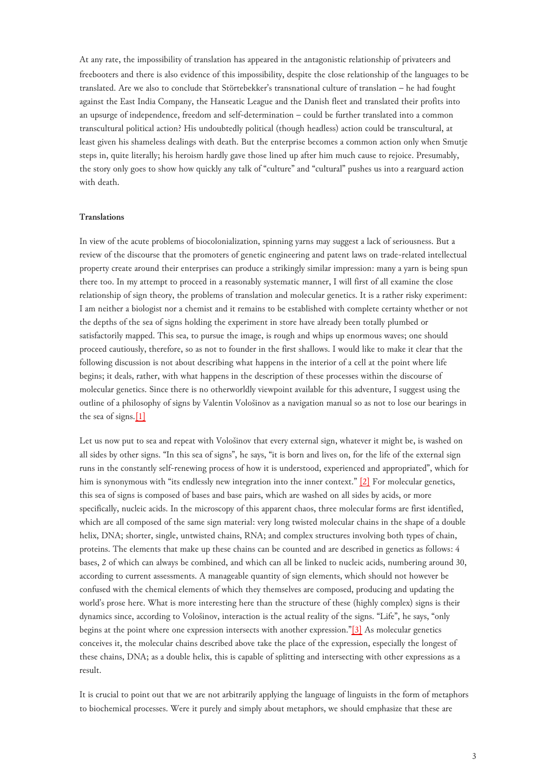At any rate, the impossibility of translation has appeared in the antagonistic relationship of privateers and freebooters and there is also evidence of this impossibility, despite the close relationship of the languages to be translated. Are we also to conclude that Störtebekker's transnational culture of translation – he had fought against the East India Company, the Hanseatic League and the Danish fleet and translated their profits into an upsurge of independence, freedom and self-determination – could be further translated into a common transcultural political action? His undoubtedly political (though headless) action could be transcultural, at least given his shameless dealings with death. But the enterprise becomes a common action only when Smutje steps in, quite literally; his heroism hardly gave those lined up after him much cause to rejoice. Presumably, the story only goes to show how quickly any talk of "culture" and "cultural" pushes us into a rearguard action with death.

#### **Translations**

<span id="page-2-0"></span>In view of the acute problems of biocolonialization, spinning yarns may suggest a lack of seriousness. But a review of the discourse that the promoters of genetic engineering and patent laws on trade-related intellectual property create around their enterprises can produce a strikingly similar impression: many a yarn is being spun there too. In my attempt to proceed in a reasonably systematic manner, I will first of all examine the close relationship of sign theory, the problems of translation and molecular genetics. It is a rather risky experiment: I am neither a biologist nor a chemist and it remains to be established with complete certainty whether or not the depths of the sea of signs holding the experiment in store have already been totally plumbed or satisfactorily mapped. This sea, to pursue the image, is rough and whips up enormous waves; one should proceed cautiously, therefore, so as not to founder in the first shallows. I would like to make it clear that the following discussion is not about describing what happens in the interior of a cell at the point where life begins; it deals, rather, with what happens in the description of these processes within the discourse of molecular genetics. Since there is no otherworldly viewpoint available for this adventure, I suggest using the outline of a philosophy of signs by Valentin Vološinov as a navigation manual so as not to lose our bearings in the sea of signs[.\[1\]](#page-8-0)

<span id="page-2-1"></span>Let us now put to sea and repeat with Vološinov that every external sign, whatever it might be, is washed on all sides by other signs. "In this sea of signs", he says, "it is born and lives on, for the life of the external sign runs in the constantly self-renewing process of how it is understood, experienced and appropriated", which for him is synonymous with "its endlessly new integration into the inner context." [\[2\]](#page-8-1) For molecular genetics, this sea of signs is composed of bases and base pairs, which are washed on all sides by acids, or more specifically, nucleic acids. In the microscopy of this apparent chaos, three molecular forms are first identified, which are all composed of the same sign material: very long twisted molecular chains in the shape of a double helix, DNA; shorter, single, untwisted chains, RNA; and complex structures involving both types of chain, proteins. The elements that make up these chains can be counted and are described in genetics as follows: 4 bases, 2 of which can always be combined, and which can all be linked to nucleic acids, numbering around 30, according to current assessments. A manageable quantity of sign elements, which should not however be confused with the chemical elements of which they themselves are composed, producing and updating the world's prose here. What is more interesting here than the structure of these (highly complex) signs is their dynamics since, according to Vološinov, interaction is the actual reality of the signs. "Life", he says, "only begins at the point where one expression intersects with another expression."[\[3\]](#page-8-2) As molecular genetics conceives it, the molecular chains described above take the place of the expression, especially the longest of these chains, DNA; as a double helix, this is capable of splitting and intersecting with other expressions as a result.

<span id="page-2-2"></span>It is crucial to point out that we are not arbitrarily applying the language of linguists in the form of metaphors to biochemical processes. Were it purely and simply about metaphors, we should emphasize that these are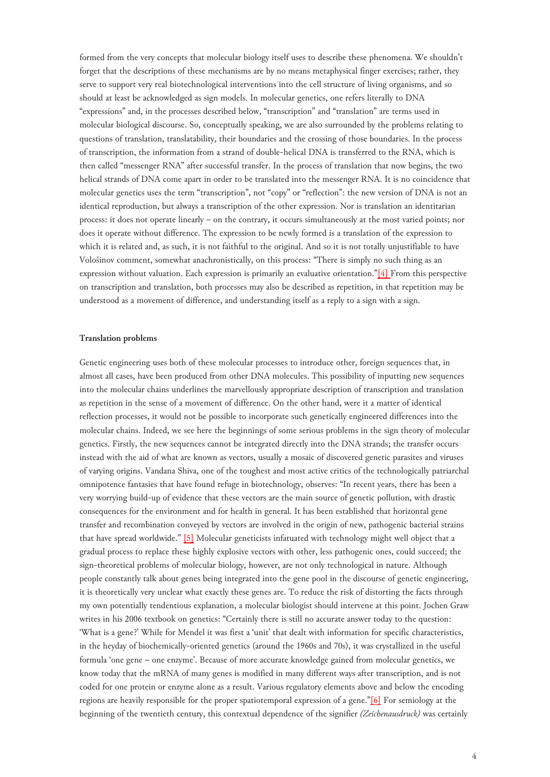formed from the very concepts that molecular biology itself uses to describe these phenomena. We shouldn't forget that the descriptions of these mechanisms are by no means metaphysical finger exercises; rather, they serve to support very real biotechnological interventions into the cell structure of living organisms, and so should at least be acknowledged as sign models. In molecular genetics, one refers literally to DNA "expressions" and, in the processes described below, "transcription" and "translation" are terms used in molecular biological discourse. So, conceptually speaking, we are also surrounded by the problems relating to questions of translation, translatability, their boundaries and the crossing of those boundaries. In the process of transcription, the information from a strand of double-helical DNA is transferred to the RNA, which is then called "messenger RNA" after successful transfer. In the process of translation that now begins, the two helical strands of DNA come apart in order to be translated into the messenger RNA. It is no coincidence that molecular genetics uses the term "transcription", not "copy" or "reflection": the new version of DNA is not an identical reproduction, but always a transcription of the other expression. Nor is translation an identitarian process: it does not operate linearly – on the contrary, it occurs simultaneously at the most varied points; nor does it operate without difference. The expression to be newly formed is a translation of the expression to which it is related and, as such, it is not faithful to the original. And so it is not totally unjustifiable to have Vološinov comment, somewhat anachronistically, on this process: "There is simply no such thing as an expression without valuation. Each expression is primarily an evaluative orientation."[\[4\] F](#page-8-3)rom this perspective on transcription and translation, both processes may also be described as repetition, in that repetition may be understood as a movement of difference, and understanding itself as a reply to a sign with a sign.

#### **Translation problems**

<span id="page-3-0"></span>Genetic engineering uses both of these molecular processes to introduce other, foreign sequences that, in almost all cases, have been produced from other DNA molecules. This possibility of inputting new sequences into the molecular chains underlines the marvellously appropriate description of transcription and translation as repetition in the sense of a movement of difference. On the other hand, were it a matter of identical reflection processes, it would not be possible to incorporate such genetically engineered differences into the molecular chains. Indeed, we see here the beginnings of some serious problems in the sign theory of molecular genetics. Firstly, the new sequences cannot be integrated directly into the DNA strands; the transfer occurs instead with the aid of what are known as vectors, usually a mosaic of discovered genetic parasites and viruses of varying origins. Vandana Shiva, one of the toughest and most active critics of the technologically patriarchal omnipotence fantasies that have found refuge in biotechnology, observes: "In recent years, there has been a very worrying build-up of evidence that these vectors are the main source of genetic pollution, with drastic consequences for the environment and for health in general. It has been established that horizontal gene transfer and recombination conveyed by vectors are involved in the origin of new, pathogenic bacterial strains that have spread worldwide." [\[5\]](#page-8-4) Molecular geneticists infatuated with technology might well object that a gradual process to replace these highly explosive vectors with other, less pathogenic ones, could succeed; the sign-theoretical problems of molecular biology, however, are not only technological in nature. Although people constantly talk about genes being integrated into the gene pool in the discourse of genetic engineering, it is theoretically very unclear what exactly these genes are. To reduce the risk of distorting the facts through my own potentially tendentious explanation, a molecular biologist should intervene at this point. Jochen Graw writes in his 2006 textbook on genetics: "Certainly there is still no accurate answer today to the question: 'What is a gene?' While for Mendel it was first a 'unit' that dealt with information for specific characteristics, in the heyday of biochemically-oriented genetics (around the 1960s and 70s), it was crystallized in the useful formula 'one gene – one enzyme'. Because of more accurate knowledge gained from molecular genetics, we know today that the mRNA of many genes is modified in many different ways after transcription, and is not coded for one protein or enzyme alone as a result. Various regulatory elements above and below the encoding regions are heavily responsible for the proper spatiotemporal expression of a gene."[\[6\]](#page-8-5) For semiology at the beginning of the twentieth century, this contextual dependence of the signifier *(Zeichenausdruck)* was certainly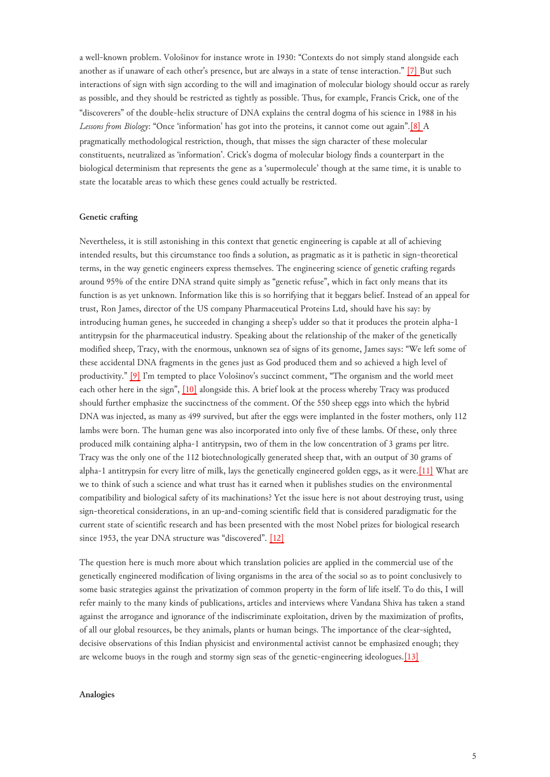a well-known problem. Vološinov for instance wrote in 1930: "Contexts do not simply stand alongside each another as if unaware of each other's presence, but are always in a state of tense interaction." [\[7\] B](#page-8-6)ut such interactions of sign with sign according to the will and imagination of molecular biology should occur as rarely as possible, and they should be restricted as tightly as possible. Thus, for example, Francis Crick, one of the "discoverers" of the double-helix structure of DNA explains the central dogma of his science in 1988 in his *Lessons from Biology*: "Once 'information' has got into the proteins, it cannot come out again".[\[8\] A](#page-8-7) pragmatically methodological restriction, though, that misses the sign character of these molecular constituents, neutralized as 'information'. Crick's dogma of molecular biology finds a counterpart in the biological determinism that represents the gene as a 'supermolecule' though at the same time, it is unable to state the locatable areas to which these genes could actually be restricted.

### **Genetic crafting**

<span id="page-4-0"></span>Nevertheless, it is still astonishing in this context that genetic engineering is capable at all of achieving intended results, but this circumstance too finds a solution, as pragmatic as it is pathetic in sign-theoretical terms, in the way genetic engineers express themselves. The engineering science of genetic crafting regards around 95% of the entire DNA strand quite simply as "genetic refuse", which in fact only means that its function is as yet unknown. Information like this is so horrifying that it beggars belief. Instead of an appeal for trust, Ron James, director of the US company Pharmaceutical Proteins Ltd, should have his say: by introducing human genes, he succeeded in changing a sheep's udder so that it produces the protein alpha-1 antitrypsin for the pharmaceutical industry. Speaking about the relationship of the maker of the genetically modified sheep, Tracy, with the enormous, unknown sea of signs of its genome, James says: "We left some of these accidental DNA fragments in the genes just as God produced them and so achieved a high level of productivity." [\[9\]](#page-8-8) I'm tempted to place Vološinov's succinct comment, "The organism and the world meet each other here in the sign", [\[10\]](#page-8-9) alongside this. A brief look at the process whereby Tracy was produced should further emphasize the succinctness of the comment. Of the 550 sheep eggs into which the hybrid DNA was injected, as many as 499 survived, but after the eggs were implanted in the foster mothers, only 112 lambs were born. The human gene was also incorporated into only five of these lambs. Of these, only three produced milk containing alpha-1 antitrypsin, two of them in the low concentration of 3 grams per litre. Tracy was the only one of the 112 biotechnologically generated sheep that, with an output of 30 grams of alpha-1 antitrypsin for every litre of milk, lays the genetically engineered golden eggs, as it were.[\[11\]](#page-8-10) What are we to think of such a science and what trust has it earned when it publishes studies on the environmental compatibility and biological safety of its machinations? Yet the issue here is not about destroying trust, using sign-theoretical considerations, in an up-and-coming scientific field that is considered paradigmatic for the current state of scientific research and has been presented with the most Nobel prizes for biological research since 1953, the year DNA structure was "discovered". [\[12\]](#page-8-11)

<span id="page-4-1"></span>The question here is much more about which translation policies are applied in the commercial use of the genetically engineered modification of living organisms in the area of the social so as to point conclusively to some basic strategies against the privatization of common property in the form of life itself. To do this, I will refer mainly to the many kinds of publications, articles and interviews where Vandana Shiva has taken a stand against the arrogance and ignorance of the indiscriminate exploitation, driven by the maximization of profits, of all our global resources, be they animals, plants or human beings. The importance of the clear-sighted, decisive observations of this Indian physicist and environmental activist cannot be emphasized enough; they are welcome buoys in the rough and stormy sign seas of the genetic-engineering ideologues.[\[13\]](#page-8-12)

## **Analogies**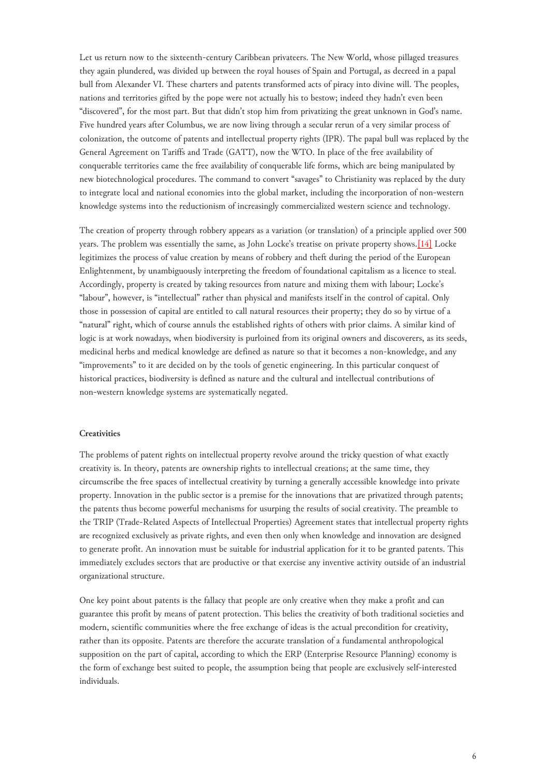Let us return now to the sixteenth-century Caribbean privateers. The New World, whose pillaged treasures they again plundered, was divided up between the royal houses of Spain and Portugal, as decreed in a papal bull from Alexander VI. These charters and patents transformed acts of piracy into divine will. The peoples, nations and territories gifted by the pope were not actually his to bestow; indeed they hadn't even been "discovered", for the most part. But that didn't stop him from privatizing the great unknown in God's name. Five hundred years after Columbus, we are now living through a secular rerun of a very similar process of colonization, the outcome of patents and intellectual property rights (IPR). The papal bull was replaced by the General Agreement on Tariffs and Trade (GATT), now the WTO. In place of the free availability of conquerable territories came the free availability of conquerable life forms, which are being manipulated by new biotechnological procedures. The command to convert "savages" to Christianity was replaced by the duty to integrate local and national economies into the global market, including the incorporation of non-western knowledge systems into the reductionism of increasingly commercialized western science and technology.

<span id="page-5-0"></span>The creation of property through robbery appears as a variation (or translation) of a principle applied over 500 years. The problem was essentially the same, as John Locke's treatise on private property shows.[\[14\]](#page-8-13) Locke legitimizes the process of value creation by means of robbery and theft during the period of the European Enlightenment, by unambiguously interpreting the freedom of foundational capitalism as a licence to steal. Accordingly, property is created by taking resources from nature and mixing them with labour; Locke's "labour", however, is "intellectual" rather than physical and manifests itself in the control of capital. Only those in possession of capital are entitled to call natural resources their property; they do so by virtue of a "natural" right, which of course annuls the established rights of others with prior claims. A similar kind of logic is at work nowadays, when biodiversity is purloined from its original owners and discoverers, as its seeds, medicinal herbs and medical knowledge are defined as nature so that it becomes a non-knowledge, and any "improvements" to it are decided on by the tools of genetic engineering. In this particular conquest of historical practices, biodiversity is defined as nature and the cultural and intellectual contributions of non-western knowledge systems are systematically negated.

#### **Creativities**

The problems of patent rights on intellectual property revolve around the tricky question of what exactly creativity is. In theory, patents are ownership rights to intellectual creations; at the same time, they circumscribe the free spaces of intellectual creativity by turning a generally accessible knowledge into private property. Innovation in the public sector is a premise for the innovations that are privatized through patents; the patents thus become powerful mechanisms for usurping the results of social creativity. The preamble to the TRIP (Trade-Related Aspects of Intellectual Properties) Agreement states that intellectual property rights are recognized exclusively as private rights, and even then only when knowledge and innovation are designed to generate profit. An innovation must be suitable for industrial application for it to be granted patents. This immediately excludes sectors that are productive or that exercise any inventive activity outside of an industrial organizational structure.

One key point about patents is the fallacy that people are only creative when they make a profit and can guarantee this profit by means of patent protection. This belies the creativity of both traditional societies and modern, scientific communities where the free exchange of ideas is the actual precondition for creativity, rather than its opposite. Patents are therefore the accurate translation of a fundamental anthropological supposition on the part of capital, according to which the ERP (Enterprise Resource Planning) economy is the form of exchange best suited to people, the assumption being that people are exclusively self-interested individuals.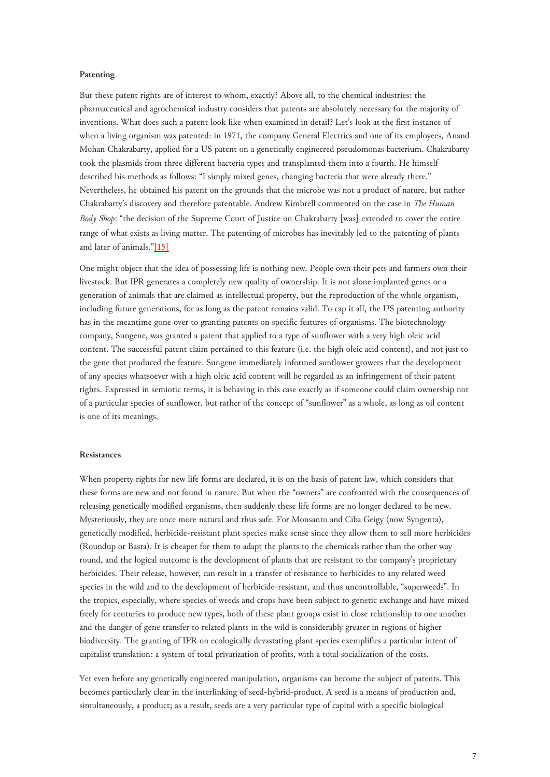## **Patenting**

<span id="page-6-0"></span>But these patent rights are of interest to whom, exactly? Above all, to the chemical industries: the pharmaceutical and agrochemical industry considers that patents are absolutely necessary for the majority of inventions. What does such a patent look like when examined in detail? Let's look at the first instance of when a living organism was patented: in 1971, the company General Electrics and one of its employees, Anand Mohan Chakrabarty, applied for a US patent on a genetically engineered pseudomonas bacterium. Chakrabarty took the plasmids from three different bacteria types and transplanted them into a fourth. He himself described his methods as follows: "I simply mixed genes, changing bacteria that were already there." Nevertheless, he obtained his patent on the grounds that the microbe was not a product of nature, but rather Chakrabarty's discovery and therefore patentable. Andrew Kimbrell commented on the case in *The Human Body Shop*: "the decision of the Supreme Court of Justice on Chakrabarty [was] extended to cover the entire range of what exists as living matter. The patenting of microbes has inevitably led to the patenting of plants and later of animals."[\[15\]](#page-8-14)

One might object that the idea of possessing life is nothing new. People own their pets and farmers own their livestock. But IPR generates a completely new quality of ownership. It is not alone implanted genes or a generation of animals that are claimed as intellectual property, but the reproduction of the whole organism, including future generations, for as long as the patent remains valid. To cap it all, the US patenting authority has in the meantime gone over to granting patents on specific features of organisms. The biotechnology company, Sungene, was granted a patent that applied to a type of sunflower with a very high oleic acid content. The successful patent claim pertained to this feature (i.e. the high oleic acid content), and not just to the gene that produced the feature. Sungene immediately informed sunflower growers that the development of any species whatsoever with a high oleic acid content will be regarded as an infringement of their patent rights. Expressed in semiotic terms, it is behaving in this case exactly as if someone could claim ownership not of a particular species of sunflower, but rather of the concept of "sunflower" as a whole, as long as oil content is one of its meanings.

## **Resistances**

When property rights for new life forms are declared, it is on the basis of patent law, which considers that these forms are new and not found in nature. But when the "owners" are confronted with the consequences of releasing genetically modified organisms, then suddenly these life forms are no longer declared to be new. Mysteriously, they are once more natural and thus safe. For Monsanto and Ciba Geigy (now Syngenta), genetically modified, herbicide-resistant plant species make sense since they allow them to sell more herbicides (Roundup or Basta). It is cheaper for them to adapt the plants to the chemicals rather than the other way round, and the logical outcome is the development of plants that are resistant to the company's proprietary herbicides. Their release, however, can result in a transfer of resistance to herbicides to any related weed species in the wild and to the development of herbicide-resistant, and thus uncontrollable, "superweeds". In the tropics, especially, where species of weeds and crops have been subject to genetic exchange and have mixed freely for centuries to produce new types, both of these plant groups exist in close relationship to one another and the danger of gene transfer to related plants in the wild is considerably greater in regions of higher biodiversity. The granting of IPR on ecologically devastating plant species exemplifies a particular intent of capitalist translation: a system of total privatization of profits, with a total socialization of the costs.

Yet even before any genetically engineered manipulation, organisms can become the subject of patents. This becomes particularly clear in the interlinking of seed-hybrid-product. A seed is a means of production and, simultaneously, a product; as a result, seeds are a very particular type of capital with a specific biological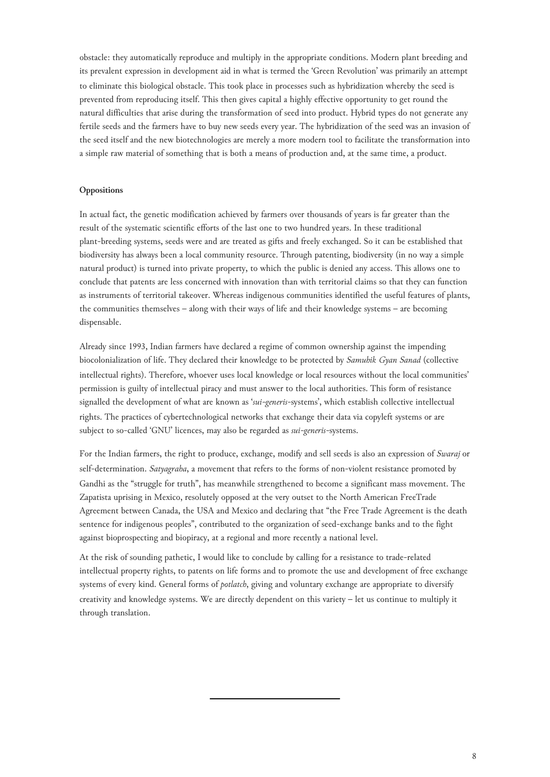obstacle: they automatically reproduce and multiply in the appropriate conditions. Modern plant breeding and its prevalent expression in development aid in what is termed the 'Green Revolution' was primarily an attempt to eliminate this biological obstacle. This took place in processes such as hybridization whereby the seed is prevented from reproducing itself. This then gives capital a highly effective opportunity to get round the natural difficulties that arise during the transformation of seed into product. Hybrid types do not generate any fertile seeds and the farmers have to buy new seeds every year. The hybridization of the seed was an invasion of the seed itself and the new biotechnologies are merely a more modern tool to facilitate the transformation into a simple raw material of something that is both a means of production and, at the same time, a product.

## **Oppositions**

In actual fact, the genetic modification achieved by farmers over thousands of years is far greater than the result of the systematic scientific efforts of the last one to two hundred years. In these traditional plant-breeding systems, seeds were and are treated as gifts and freely exchanged. So it can be established that biodiversity has always been a local community resource. Through patenting, biodiversity (in no way a simple natural product) is turned into private property, to which the public is denied any access. This allows one to conclude that patents are less concerned with innovation than with territorial claims so that they can function as instruments of territorial takeover. Whereas indigenous communities identified the useful features of plants, the communities themselves – along with their ways of life and their knowledge systems – are becoming dispensable.

Already since 1993, Indian farmers have declared a regime of common ownership against the impending biocolonialization of life. They declared their knowledge to be protected by *Samuhik Gyan Sanad* (collective intellectual rights). Therefore, whoever uses local knowledge or local resources without the local communities' permission is guilty of intellectual piracy and must answer to the local authorities. This form of resistance signalled the development of what are known as '*sui-generis-*systems', which establish collective intellectual rights. The practices of cybertechnological networks that exchange their data via copyleft systems or are subject to so-called 'GNU' licences, may also be regarded as *sui-generis-*systems.

For the Indian farmers, the right to produce, exchange, modify and sell seeds is also an expression of *Swaraj* or self-determination. *Satyagraha*, a movement that refers to the forms of non-violent resistance promoted by Gandhi as the "struggle for truth", has meanwhile strengthened to become a significant mass movement. The Zapatista uprising in Mexico, resolutely opposed at the very outset to the North American FreeTrade Agreement between Canada, the USA and Mexico and declaring that "the Free Trade Agreement is the death sentence for indigenous peoples", contributed to the organization of seed-exchange banks and to the fight against bioprospecting and biopiracy, at a regional and more recently a national level.

At the risk of sounding pathetic, I would like to conclude by calling for a resistance to trade-related intellectual property rights, to patents on life forms and to promote the use and development of free exchange systems of every kind. General forms of *potlatch*, giving and voluntary exchange are appropriate to diversify creativity and knowledge systems. We are directly dependent on this variety – let us continue to multiply it through translation.